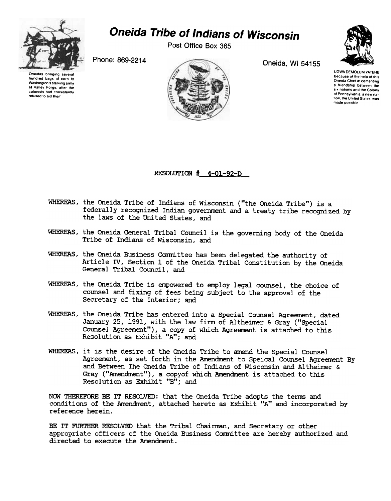

# Oneida Tribe of Indians of Wisconsin

Post Office Box 365

Phone: 869-2214 Oneida, WI 54155









UGWA DEMOLUM YATEHE Because of the help of this Oneida Chief in cementing a friendship between the six nations and the Colony of Pennsylvania, a new nation, the United States, was made possible

RESOLUTION # 4-01-92-D

- WHEREAS, the Oneida Tribe of Indians of Wisconsin ("the Oneida Tribe") is a federally recognized Indian government and a treaty tribe recognized by the laws of the United states, and
- WHEREAS, the Oneida General Tribal Council is the governing body of the Oneida Tribe of Indians of Wisconsin, and
- WHEREAS, the Oneida Business Committee has been delegated the authority of Article IV, Section 1 of the Oneida Tribal Constitution by the Oneida General Tribal Council, and
- WHEREAS, the Oneida Tribe is empowered to employ legal counsel, the choice of counsel and fixing of fees being subject to the approval of the Secretary of the Interior; and
- WHEREAS, the Oneida Tribe has entered into a Special Counsel Agreement, dated January 25, 1991, with the law firm of Altheimer & Gray ("Special Counsel Agreement"), a copy of which Agreement is attached to this Resolution as Exhibit "A"; and
- WHEREAS, it is the desire of the Oneida Tribe to amend the Special Counsel Agreement, as set forth in the Amendment to Speical Counsel Agreement By and Between The Oneida Tribe of Indians of Wisconsin and Al theimer & Gray ("Amendment"), a copyof which Amendment is attached to this Resolution as Exhibit "B"; and

NOW THEREFORE BE IT RESOLVED: that the Oneida Tribe adopts the terms and conditions of the Amendment, attached hereto as Exhibit "A" and incorporated by reference herein.

BE IT FURTHER RESOLVED that the Tribal Chairman, and Secretary or other appropriate officers of the Oneida Business Committee are hereby authorized and directed to execute the Amendment.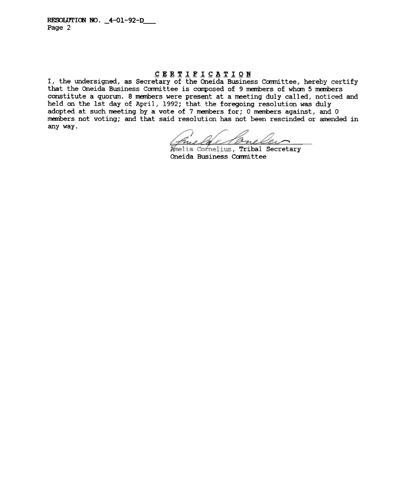#### CERTIFICATION

I, the undersigned, as Secretary of the Oneida Business Committee, hereby certify that the Oneida Business Committee is composed of 9 members of whom 5 members constitute a quorum. 8 members were present at a meeting duly called, noticed and held on the 1st day of April, 1992; that the foregoing resolution was duly adopted at such meeting by a vote of 7 members for; 0 members against, and 0 members not voting; and that said resolution has not been rescinded or amended in any way.

Cone

Mmelia Cornelius, Tribal Secretary Oneida Business Committee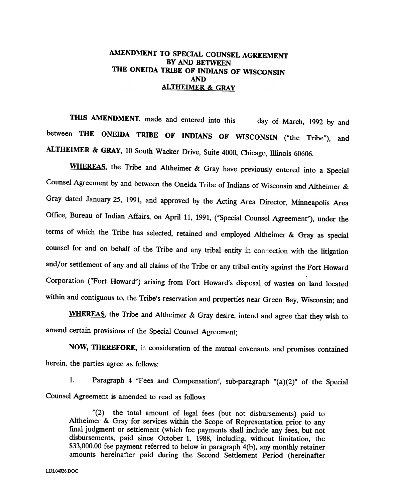### AMENDMENT TO SPECIAL COUNSEL AGREEMENT BY AND BETWEEN THE ONEIDA TRIBE OF INDIANS OF WISCONSIN AND ALTHEIMER & GRAY

THIS AMENDMENT, made and entered into this day of March, 1992 by and between THE ONEIDA TRIBE OF INDIANS OF WISCONSIN ("the Tribe"), and ALTHEIMER & GRAY, 10 South Wacker Drive, Suite 4000, Chicago, Illinois 60606.

WHEREAS, the Tribe and Altheimer & Gray have previously entered into a Special Counsel Agreement by and between the Oneida Tribe of Indians of Wisconsin and Altheimer & Gray dated January 25, 1991, and approved by the Acting Area Director, Minneapolis Area Office, Bureau of Indian Affairs, on April 11, 1991, ("Special Counsel Agreement"), under the terms of which the Tribe has selected, retained and employed Altheimer & Gray as special counsel for and on behalf of the Tribe and any tribal entity in connection with the litigation and/or settlement of any and all claims of the Tribe or any tribal entity against the Fort Howard Corporation ("Fort Howard") arising from Fort Howard's disposal of wastes on land located within and contiguous to, the Tribe's reservation and properties near Green Bay, Wisconsin; and

WHEREAS, the Tribe and Altheimer & Gray desire, intend and agree that they wish to amend certain provisions of the Special Counsel Agreement;

NOW, THEREFORE, in consideration of the mutual covenants and promises contained herein, the parties agree as follows:

1. Paragraph 4 "Fees and Compensation", sub-paragraph "(a)(2)" of the Special Counsel Agreement is amended to read as follows:

"(2) the total amount of legal fees (but not disbursements) paid to Altheimer & Gray for services within the Scope of Representation prior to any final judgment or settlement (which fee payments shall include any fees, but not disbursements, paid since October 1, 1988, including, without limitation, the \$33,000.00 fee payment referred to below in paragraph 4(b), any monthly retainer amounts hereinafter paid during the Second Settlement Period (hereinafter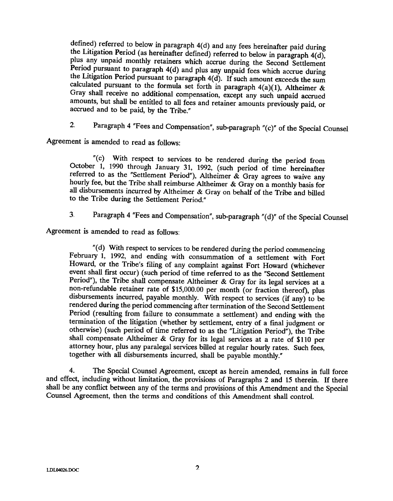defined) referred to below in paragraph  $4(d)$  and any fees hereinafter paid during the Litigation Period (as hereinafter defined) referred to below in paragraph  $4(d)$ , plus any unpaid monthly retainers which accrue during the Second Settlement Period pursuant to paragraph 4(d) and plus any unpaid fees which accrue during the Litigation Period pursuant to paragraph 4(d). If such amount exceeds the sum calculated pursuant to the formula set forth in paragraph  $4(a)(1)$ , Altheimer & Gray shall receive no additional compensation, except any such unpaid accrued amounts, but shall be entitled to all fees and retainer amounts previously paid, or accrued and to be paid, by the Tribe."

2. Paragraph 4 "Fees and Compensation", sub-paragraph "(c)" of the Special Counsel

Agreement is amended to read as follows:

"(c) With respect to services to be rendered during the period from October 1, 1990 through January 31, 1992, (such period of time hereinafter referred to as the "Settlement Period"), Altheimer  $\&$  Gray agrees to waive any hourly fee, but the Tribe shall reimburse Altheimer & Gray on a monthly basis for all disbursements incurred by Altheimer & Gray on behalf of the Tribe and billed to the Tribe during the Settlement Period."

3, Paragraph 4 "Fees and Compensation", sub-paragraph "(d)" of the Special Counsel

Agreement is amended to read as follows:

"(d) With respect to services to be rendered during the period commencing February 1, 1992, and ending with consummation of a settlement with Fort Howard, or the Tribe's filing of any complaint against Fort Howard (whichever event shall first occur) (such period of time referred to as the "Second Settlement Period"), the Tribe shall compensate Altheimer & Gray for its legal services at a non-refundable retainer rate of \$15,000.00 per month (or fraction thereof), plus disbursements incurred, payable monthly. With respect to services (if any) to be rendered during the period commencing after termination of the Second Settlement Period (resulting from failure to consummate a settlement) and ending with the termination of the litigation (whether by settlement, entry of a final judgment or otherwise) (such period of time referred to as the "Litigation Period"), the Tribe shall compensate Altheimer & Gray for its legal services at a rate of \$110 per attorney hour, plus any paralegal services billed at regular hourly rates. Such fees, together with all disbursements incurred, shall be payable monthly."

4. The Special Counsel Agreement, except as herein amended, remains in full force and effect, including without limitation, the provisions of Paragraphs 2 and 15 therein. If there shall be any conflict between any of the terms and provisions of this Amendment and the Special Counsel Agreement, then the terms and conditions of this Amendment shall control.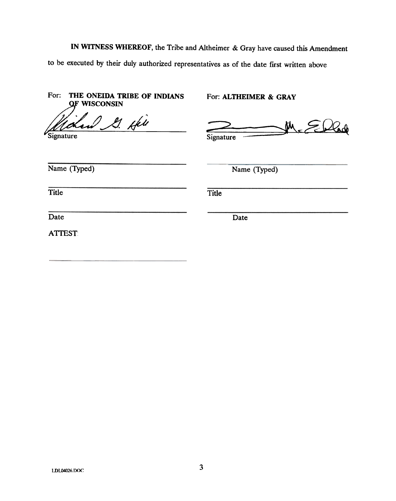IN WITNESS WHEREOF, the Tribe and Altheimer & Gray have caused this Amendment to be executed by their duly authorized representatives as of the date first written above.

| For:<br>THE ONEIDA TRIBE OF INDIANS<br><b>QF WISCONSIN</b> | For: ALTHEIMER & GRAY |
|------------------------------------------------------------|-----------------------|
| 21. April<br>Signature                                     | 'W<br>Signature       |
| Name (Typed)                                               | Name (Typed)          |
| <b>Title</b>                                               | <b>Title</b>          |
| Date                                                       | Date                  |
| <b>ATTEST:</b>                                             |                       |
|                                                            |                       |